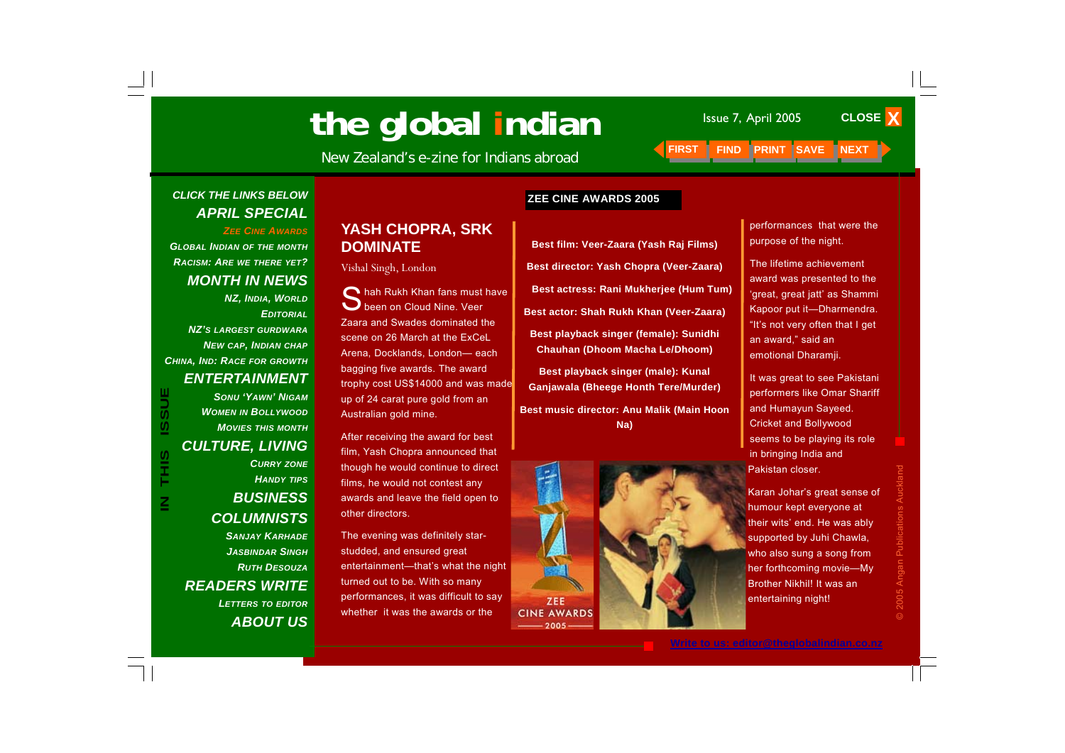# **The global indian** Issue 7, April 2005 CLO<br> **ISSUE 2005** See Indianal *LERST LEIND PRINT SAVE INEXT*

New Zealand's e-zine for Indians abroad **FIRST** 

#### **ZEE CINE AWARDS 2005**

**Best film: Veer-Zaara (Yash Raj Films) Best director: Yash Chopra (Veer-Zaara) Best actress: Rani Mukherjee (Hum Tum) Best actor: Shah Rukh Khan (Veer-Zaara) Best playback singer (female): Sunidhi Chauhan (Dhoom Macha Le/Dhoom) Best playback singer (male): Kunal** 

**Ganjawala (Bheege Honth Tere/Murder) Best music director: Anu Malik (Main Hoon Na)** 



performances that were the purpose of the night.

**CLOSE X** 

The lifetime achievement award was presented to the 'great, great jatt' as Shammi Kapoor put it—Dharmendra. "It's not very often that I get an award," said an emotional Dharamji.

It was great to see Pakistani performers like Omar Shariff and Humayun Sayeed. Cricket and Bollywood seems to be playing its role in bringing India and Pakistan closer.

Karan Johar's great sense of humour kept everyone at their wits' end. He was ably supported by Juhi Chawla, who also sung a song from her forthcoming movie—My Brother Nikhil! It was an entertaining night!

#### *CLICK THE LINKS BELOW APRIL SPECIAL*

*ZEE CINE AWARDS*

*GLOBAL INDIAN OF THE MONTH RACISM: ARE WE THERE YET? MONTH IN NEWS* 

*NZ, INDIA, WORLD EDITORIALNZ'S LARGEST GURDWARANEW CAP, INDIAN CHAP CHINA, IND: RACE FOR GROWTH ENTERTAINMENT* 

> *SONU 'YAWN' NIGAMWOMEN IN BOLLYWOOD MOVIES THIS MONTH*

*CULTURE, LIVING* 

 $\mathbf{Z}% _{M_{1},M_{2}}^{\ast}\mathbf{Z}_{M_{1},M_{2}}^{\ast}=\mathbf{Z}_{M_{1},M_{2}}^{\ast}$ 

#### *CURRY ZONE HANDY TIPS BUSINESS COLUMNISTS SANJAY KARHADEJASBINDAR SINGHRUTH DESOUZAREADERS WRITE LETTERS TO EDITOR ABOUT US*

#### **YASH CHOPRA, SRK DOMINATE**

Vishal Singh, London

 $\bigcap$  hah Rukh Khan fans must have been on Cloud Nine. Veer Zaara and Swades dominated the scene on 26 March at the ExCeL Arena, Docklands, London— each bagging five awards. The award trophy cost US\$14000 and was made up of 24 carat pure gold from an Australian gold mine.

After receiving the award for best film, Yash Chopra announced that though he would continue to direct films, he would not contest any awards and leave the field open to other directors.

The evening was definitely starstudded, and ensured great entertainment—that's what the night turned out to be. With so many performances, it was difficult to say whether it was the awards or the

© 2005 Angan Publications Auckland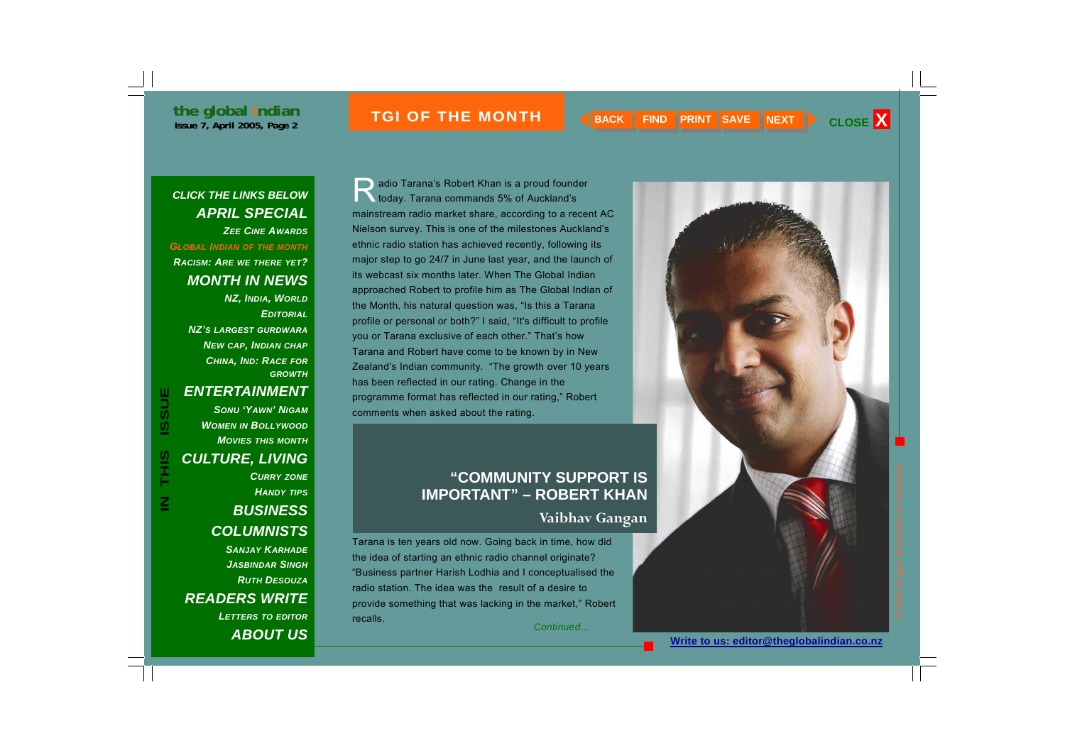#### **ISSUE THE MONTH A RACK FIND PRINT SAVE NEXT > CLOSE X**

#### *CLICK THE LINKS BELOW APRIL SPECIAL ZEE CINE AWARDS*

*GLOBAL INDIAN OF THE MONTH*

*RACISM: ARE WE THERE YET? MONTH IN NEWS* 

> *NZ, INDIA, WORLD EDITORIALNZ'S LARGEST GURDWARANEW CAP, INDIAN CHAP CHINA, IND: RACE FOR GROWTH*

#### *ENTERTAINMENT*

*SONU 'YAWN' NIGAMWOMEN IN BOLLYWOOD MOVIES THIS MONTHCULTURE, LIVING CURRY ZONE HANDY TIPS BUSINESS COLUMNISTS SANJAY KARHADEJASBINDAR SINGHRUTH DESOUZA*

*READERS WRITE LETTERS TO EDITOR ABOUT US*

) adio Tarana's Robert Khan is a proud founder<br>Noday. Tarana commands 5% of Auckland's mainstream radio market share, according to a recent AC Nielson survey. This is one of the milestones Auckland's ethnic radio station has achieved recently, following its major step to go 24/7 in June last year, and the launch of its webcast six months later. When The Global Indian approached Robert to profile him as The Global Indian of the Month, his natural question was, "Is this a Tarana profile or personal or both?" I said, "It's difficult to profile you or Tarana exclusive of each other." That's how Tarana and Robert have come to be known by in New Zealand's Indian community. "The growth over 10 years has been reflected in our rating. Change in the programme format has reflected in our rating," Robert comments when asked about the rating.

#### **"COMMUNITY SUPPORT IS IMPORTANT" – ROBERT KHAN**

#### **Vaibhav Gangan**

Tarana is ten years old now. Going back in time, how did the idea of starting an ethnic radio channel originate? "Business partner Harish Lodhia and I conceptualised the radio station. The idea was the result of a desire to provide something that was lacking in the market," Robert recalls.

*Continued...* 

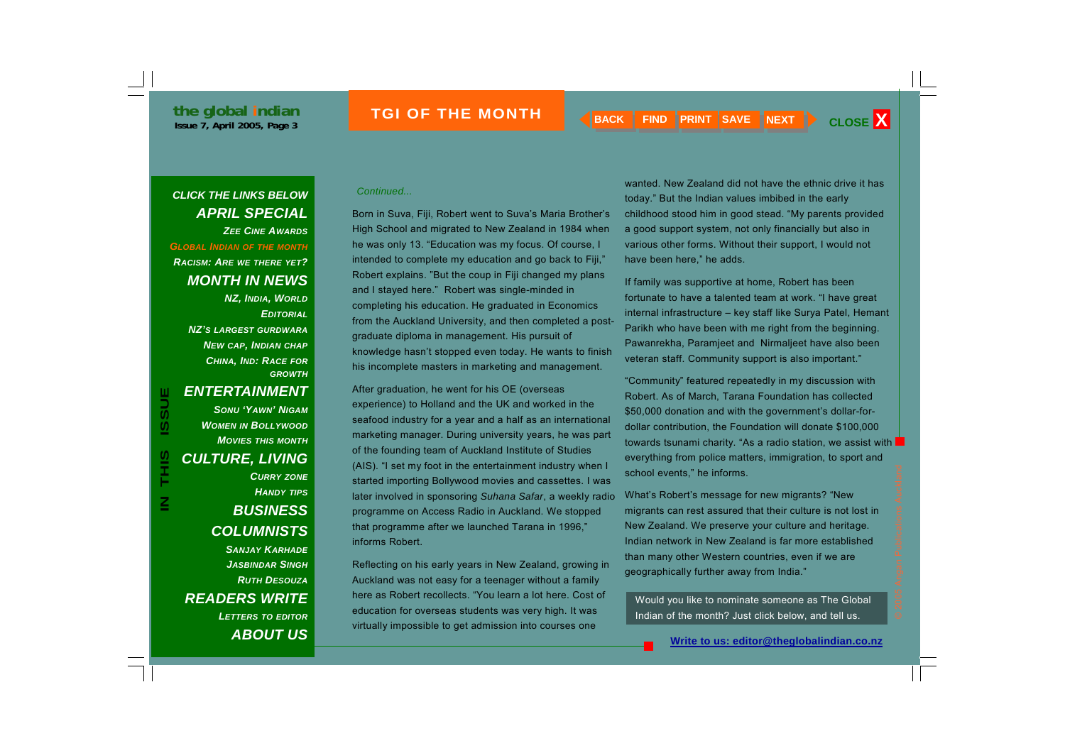#### *Continued... CLICK THE LINKS BELOW APRIL SPECIAL ZEE CINE AWARDS*

*GLOBAL INDIAN OF THE MONTH*

*RACISM: ARE WE THERE YET? MONTH IN NEWS* 

> *NZ, INDIA, WORLD EDITORIALNZ'S LARGEST GURDWARANEW CAP, INDIAN CHAP CHINA, IND: RACE FOR GROWTH*

**IN THIS ISSUE**

SIHT<br>T

≧

**ISSUE** 

*SONU 'YAWN' NIGAMWOMEN IN BOLLYWOOD MOVIES THIS MONTHCULTURE, LIVING CURRY ZONE HANDY TIPS BUSINESS COLUMNISTS SANJAY KARHADEJASBINDAR SINGHRUTH DESOUZAREADERS WRITE LETTERS TO EDITOR*

*ABOUT US*

Born in Suva, Fiji, Robert went to Suva's Maria Brother's High School and migrated to New Zealand in 1984 when he was only 13. "Education was my focus. Of course, I intended to complete my education and go back to Fiji," Robert explains. "But the coup in Fiji changed my plans and I stayed here." Robert was single-minded in completing his education. He graduated in Economics from the Auckland University, and then completed a postgraduate diploma in management. His pursuit of knowledge hasn't stopped even today. He wants to finish his incomplete masters in marketing and management.

After graduation, he went for his OE (overseas experience) to Holland and the UK and worked in the seafood industry for a year and a half as an international marketing manager. During university years, he was part of the founding team of Auckland Institute of Studies (AIS). "I set my foot in the entertainment industry when I started importing Bollywood movies and cassettes. I was later involved in sponsoring *Suhana Safar*, a weekly radio programme on Access Radio in Auckland. We stopped that programme after we launched Tarana in 1996," informs Robert.

Reflecting on his early years in New Zealand, growing in Auckland was not easy for a teenager without a family here as Robert recollects. "You learn a lot here. Cost of education for overseas students was very high. It was virtually impossible to get admission into courses one

wanted. New Zealand did not have the ethnic drive it has today." But the Indian values imbibed in the early childhood stood him in good stead. "My parents provided a good support system, not only financially but also in various other forms. Without their support, I would not have been here," he adds.

If family was supportive at home, Robert has been fortunate to have a talented team at work. "I have great internal infrastructure – key staff like Surya Patel, Hemant Parikh who have been with me right from the beginning. Pawanrekha, Paramjeet and Nirmaljeet have also been veteran staff. Community support is also important."

"Community" featured repeatedly in my discussion with Robert. As of March, Tarana Foundation has collected \$50,000 donation and with the government's dollar-fordollar contribution, the Foundation will donate \$100,000 towards tsunami charity. "As a radio station, we assist with everything from police matters, immigration, to sport and school events," he informs.

What's Robert's message for new migrants? "New migrants can rest assured that their culture is not lost in New Zealand. We preserve your culture and heritage. Indian network in New Zealand is far more established than many other Western countries, even if we are geographically further away from India."

Would you like to nominate someone as The Global Indian of the month? Just click below, and tell us.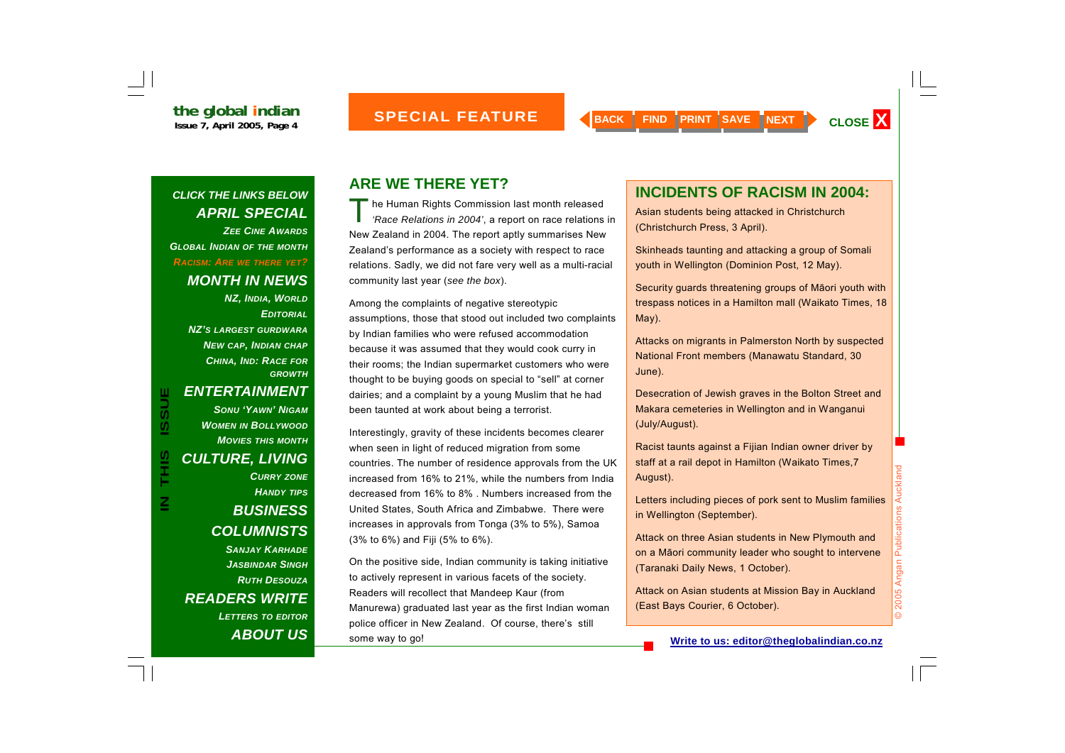*CLICK THE LINKS BELOW APRIL SPECIAL ZEE CINE AWARDSGLOBAL INDIAN OF THE MONTH RACISM: ARE WE THERE YET? MONTH IN NEWS NZ, INDIA, WORLD*

*EDITORIALNZ'S LARGEST GURDWARANEW CAP, INDIAN CHAP CHINA, IND: RACE FOR GROWTH*

≧

*ENTERTAINMENT SONU 'YAWN' NIGAMWOMEN IN BOLLYWOOD MOVIES THIS MONTH*

#### *CULTURE, LIVING CURRY ZONE*

*HANDY TIPS BUSINESS COLUMNISTS SANJAY KARHADEJASBINDAR SINGHRUTH DESOUZAREADERS WRITE LETTERS TO EDITOR ABOUT US*

### **ARE WE THERE YET?**

The Human Rights Commission last month released<br>*'Race Relations in 2004'*, a report on race relations in New Zealand in 2004. The report aptly summarises New Zealand's performance as a society with respect to race relations. Sadly, we did not fare very well as a multi-racial community last year (*see the box*).

Among the complaints of negative stereotypic assumptions, those that stood out included two complaints by Indian families who were refused accommodation because it was assumed that they would cook curry in their rooms; the Indian supermarket customers who were thought to be buying goods on special to "sell" at corner dairies; and a complaint by a young Muslim that he had been taunted at work about being a terrorist.

Interestingly, gravity of these incidents becomes clearer when seen in light of reduced migration from some countries. The number of residence approvals from the UK increased from 16% to 21%, while the numbers from India decreased from 16% to 8% . Numbers increased from the United States, South Africa and Zimbabwe. There were increases in approvals from Tonga (3% to 5%), Samoa (3% to 6%) and Fiji (5% to 6%).

On the positive side, Indian community is taking initiative to actively represent in various facets of the society. Readers will recollect that Mandeep Kaur (from Manurewa) graduated last year as the first Indian woman police officer in New Zealand. Of course, there's still some way to go!

#### **INCIDENTS OF RACISM IN 2004:**

Asian students being attacked in Christchurch (Christchurch Press, 3 April).

Skinheads taunting and attacking a group of Somali youth in Wellington (Dominion Post, 12 May).

Security guards threatening groups of M āori youth with trespass notices in a Hamilton mall (Waikato Times, 18 May).

Attacks on migrants in Palmerston North by suspected National Front members (Manawatu Standard, 30 June).

Desecration of Jewish graves in the Bolton Street and Makara cemeteries in Wellington and in Wanganui (July/August).

Racist taunts against a Fijian Indian owner driver by staff at a rail depot in Hamilton (Waikato Times,7 August).

Letters including pieces of pork sent to Muslim families in Wellington (September).

Attack on three Asian students in New Plymouth and on a M āori community leader who sought to intervene (Taranaki Daily News, 1 October).

Attack on Asian students at Mission Bay in Auckland (East Bays Courier, 6 October).

#### **Write to us: editor@theglobalindian.co.nz**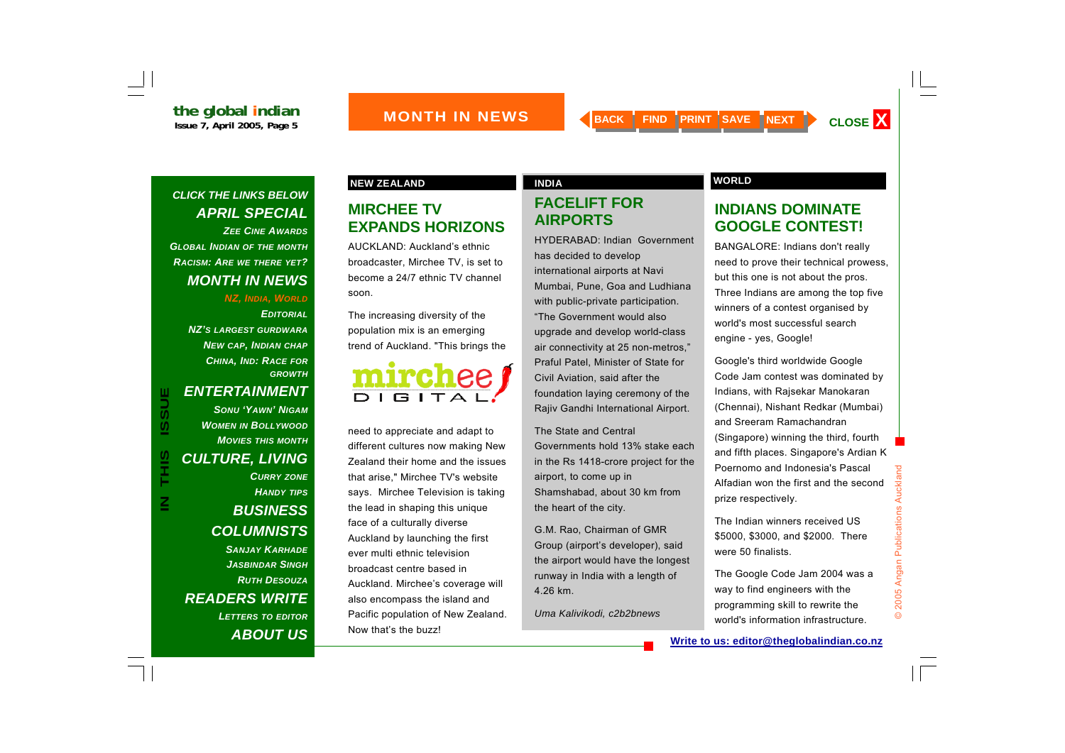

#### *CLICK THE LINKS BELOW APRIL SPECIAL ZEE CINE AWARDSGLOBAL INDIAN OF THE MONTH RACISM: ARE WE THERE YET? MONTH IN NEWS*

*NZ, INDIA, WORLD*

*EDITORIALNZ'S LARGEST GURDWARANEW CAP, INDIAN CHAP CHINA, IND: RACE FOR GROWTH*

≧

#### *ENTERTAINMENT*

*SONU 'YAWN' NIGAMWOMEN IN BOLLYWOOD MOVIES THIS MONTHCULTURE, LIVING CURRY ZONE HANDY TIPS BUSINESS COLUMNISTS SANJAY KARHADEJASBINDAR SINGHRUTH DESOUZAREADERS WRITE LETTERS TO EDITOR ABOUT US*

#### **NEW ZEALAND CONSUMING A REAL PROPERTY ASSESSED. INDIA**

#### **MIRCHEE TV EXPANDS HORIZONS**

AUCKLAND: Auckland's ethnic broadcaster, Mirchee TV, is set to become a 24/7 ethnic TV channel soon.

The increasing diversity of the population mix is an emerging trend of Auckland. "This brings the



need to appreciate and adapt to different cultures now making New Zealand their home and the issues that arise," Mirchee TV's website says. Mirchee Television is taking the lead in shaping this unique face of a culturally diverse Auckland by launching the first ever multi ethnic television broadcast centre based in Auckland. Mirchee's coverage will also encompass the island and Pacific population of New Zealand. Now that's the buzz!

#### **FACELIFT FOR AIRPORTS**

HYDERABAD: Indian Government has decided to develop international airports at Navi Mumbai, Pune, Goa and Ludhiana with public-private participation. "The Government would also upgrade and develop world-class air connectivity at 25 non-metros," Praful Patel, Minister of State for Civil Aviation, said after the foundation laying ceremony of the Rajiv Gandhi International Airport.

The State and Central Governments hold 13% stake each in the Rs 1418-crore project for the airport, to come up in Shamshabad, about 30 km from the heart of the city.

G.M. Rao, Chairman of GMR Group (airport's developer), said the airport would have the longest runway in India with a length of 4.26 km.

*Uma Kalivikodi, c2b2bnews*

#### **INDIANS DOMINATE GOOGLE CONTEST!**

BANGALORE: Indians don't really need to prove their technical prowess, but this one is not about the pros. Three Indians are among the top five winners of a contest organised by world's most successful search engine - yes, Google!

Google's third worldwide Google Code Jam contest was dominated by Indians, with Rajsekar Manokaran (Chennai), Nishant Redkar (Mumbai) and Sreeram Ramachandran (Singapore) winning the third, fourth and fifth places. Singapore's Ardian K Poernomo and Indonesia's Pascal Alfadian won the first and the second prize respectively.

The Indian winners received US\$5000, \$3000, and \$2000. There were 50 finalists.

The Google Code Jam 2004 was a way to find engineers with the programming skill to rewrite the world's information infrastructure.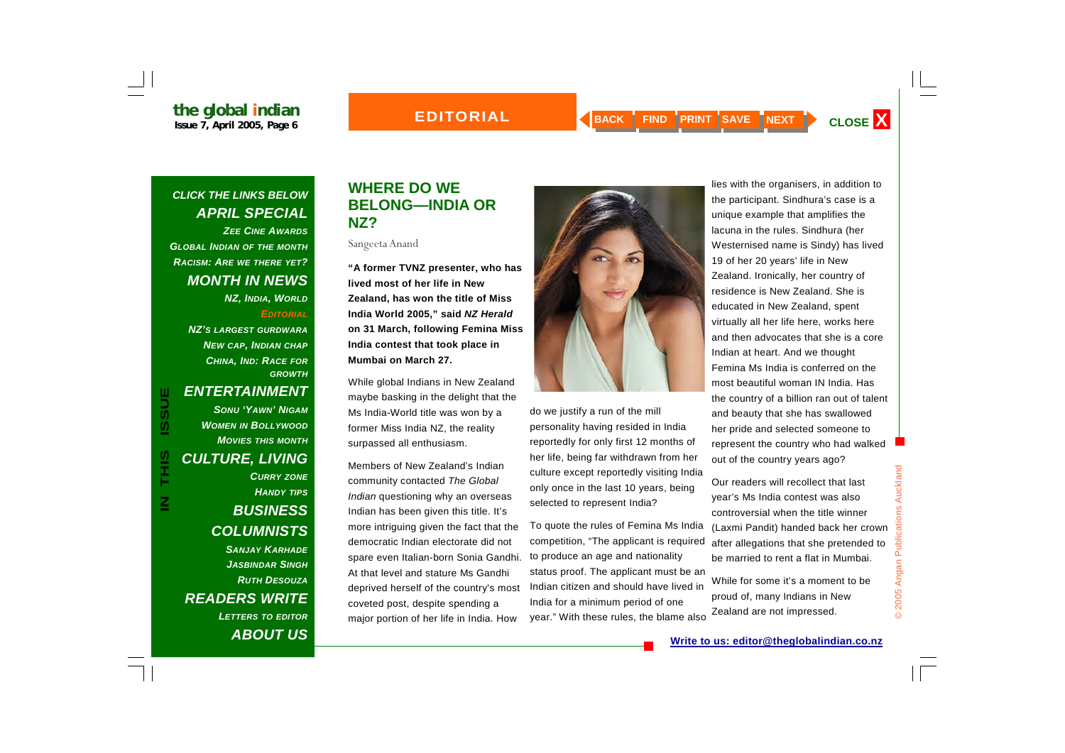#### **EDITORIAL**



#### *CLICK THE LINKS BELOW APRIL SPECIAL ZEE CINE AWARDS*

*GLOBAL INDIAN OF THE MONTH RACISM: ARE WE THERE YET? MONTH IN NEWS* 

> *NZ, INDIA, WORLD EDITORIAL*

*NZ'S LARGEST GURDWARANEW CAP, INDIAN CHAP CHINA, IND: RACE FOR GROWTH*

<u>Z</u>

#### *ENTERTAINMENT*

*SONU 'YAWN' NIGAMWOMEN IN BOLLYWOOD MOVIES THIS MONTHCULTURE, LIVING CURRY ZONE HANDY TIPS BUSINESS COLUMNISTS SANJAY KARHADEJASBINDAR SINGHRUTH DESOUZAREADERS WRITE LETTERS TO EDITOR ABOUT US*

#### **WHERE DO WE BELONG—INDIA OR NZ?**

Sangeeta Anand

**"A former TVNZ presenter, who has lived most of her life in New Zealand, has won the title of Miss India World 2005," said** *NZ Herald*  **on 31 March, following Femina Miss India contest that took place in Mumbai on March 27.** 

While global Indians in New Zealand maybe basking in the delight that the Ms India-World title was won by a former Miss India NZ, the reality surpassed all enthusiasm.

Members of New Zealand's Indian community contacted *The Global Indian* questioning why an overseas Indian has been given this title. It's more intriguing given the fact that the democratic Indian electorate did not spare even Italian-born Sonia Gandhi. At that level and stature Ms Gandhi deprived herself of the country's most coveted post, despite spending a major portion of her life in India. How



do we justify a run of the mill personality having resided in India reportedly for only first 12 months of her life, being far withdrawn from her culture except reportedly visiting India only once in the last 10 years, being selected to represent India?

To quote the rules of Femina Ms India competition, "The applicant is required to produce an age and nationality status proof. The applicant must be an Indian citizen and should have lived in India for a minimum period of one year." With these rules, the blame also

lies with the organisers, in addition to the participant. Sindhura's case is a unique example that amplifies the lacuna in the rules. Sindhura (her Westernised name is Sindy) has lived 19 of her 20 years' life in New Zealand. Ironically, her country of residence is New Zealand. She is educated in New Zealand, spent virtually all her life here, works here and then advocates that she is a core Indian at heart. And we thought Femina Ms India is conferred on the most beautiful woman IN India. Has the country of a billion ran out of talent and beauty that she has swallowed her pride and selected someone to represent the country who had walked out of the country years ago?

Our readers will recollect that last year's Ms India contest was also controversial when the title winner (Laxmi Pandit) handed back her crown after allegations that she pretended to be married to rent a flat in Mumbai.

While for some it's a moment to be proud of, many Indians in New Zealand are not impressed.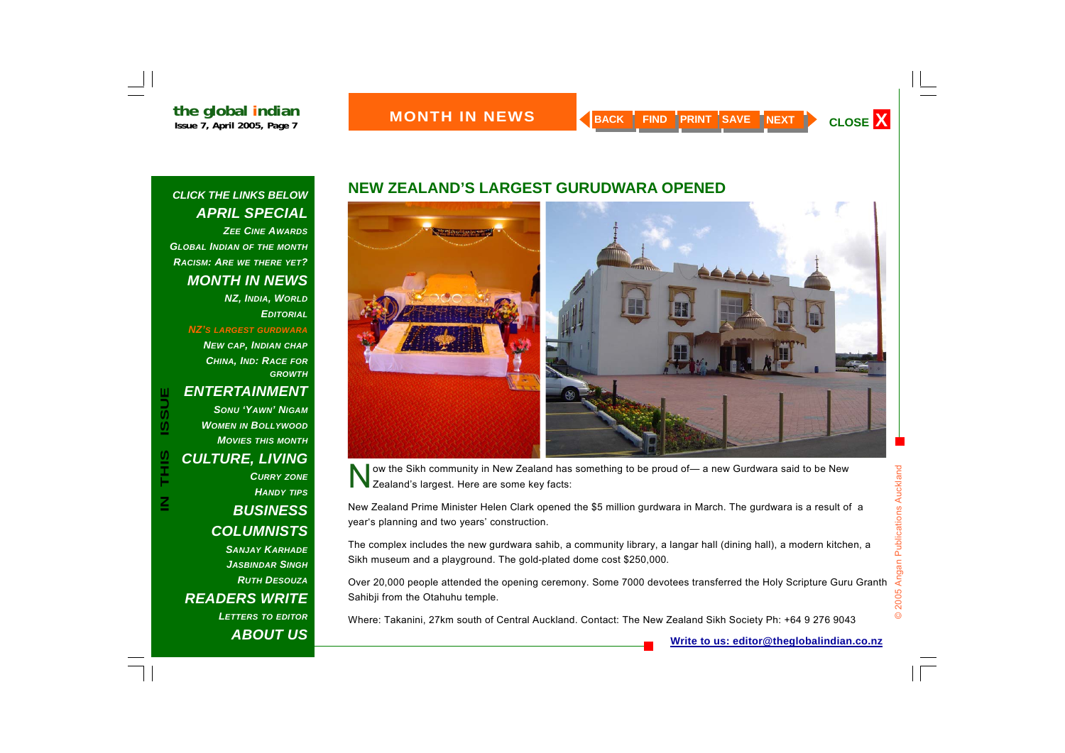

#### *CLICK THE LINKS BELOW APRIL SPECIAL ZEE CINE AWARDSGLOBAL INDIAN OF THE MONTH RACISM: ARE WE THERE YET?*

#### *MONTH IN NEWS*

*NZ, INDIA, WORLD EDITORIAL*

*NZ'S LARGEST GURDWARA*

*NEW CAP, INDIAN CHAP CHINA, IND: RACE FOR GROWTH*

#### *ENTERTAINMENT*

*SONU 'YAWN' NIGAMWOMEN IN BOLLYWOOD MOVIES THIS MONTHCULTURE, LIVING CURRY ZONE HANDY TIPS BUSINESS COLUMNISTS SANJAY KARHADEJASBINDAR SINGHRUTH DESOUZAREADERS WRITE LETTERS TO EDITOR*

*ABOUT US*

#### **NEW ZEALAND'S LARGEST GURUDWARA OPENED**



ow the Sikh community in New Zealand has something to be proud of— a new Gurdwara said to be New Zealand's largest. Here are some key facts:

New Zealand Prime Minister Helen Clark opened the \$5 million gurdwara in March. The gurdwara is a result of a year's planning and two years' construction.

The complex includes the new gurdwara sahib, a community library, a langar hall (dining hall), a modern kitchen, a Sikh museum and a playground. The gold-plated dome cost \$250,000.

Over 20,000 people attended the opening ceremony. Some 7000 devotees transferred the Holy Scripture Guru Granth Sahibji from the Otahuhu temple.

Where: Takanini, 27km south of Central Auckland. Contact: The New Zealand Sikh Society Ph: +64 9 276 9043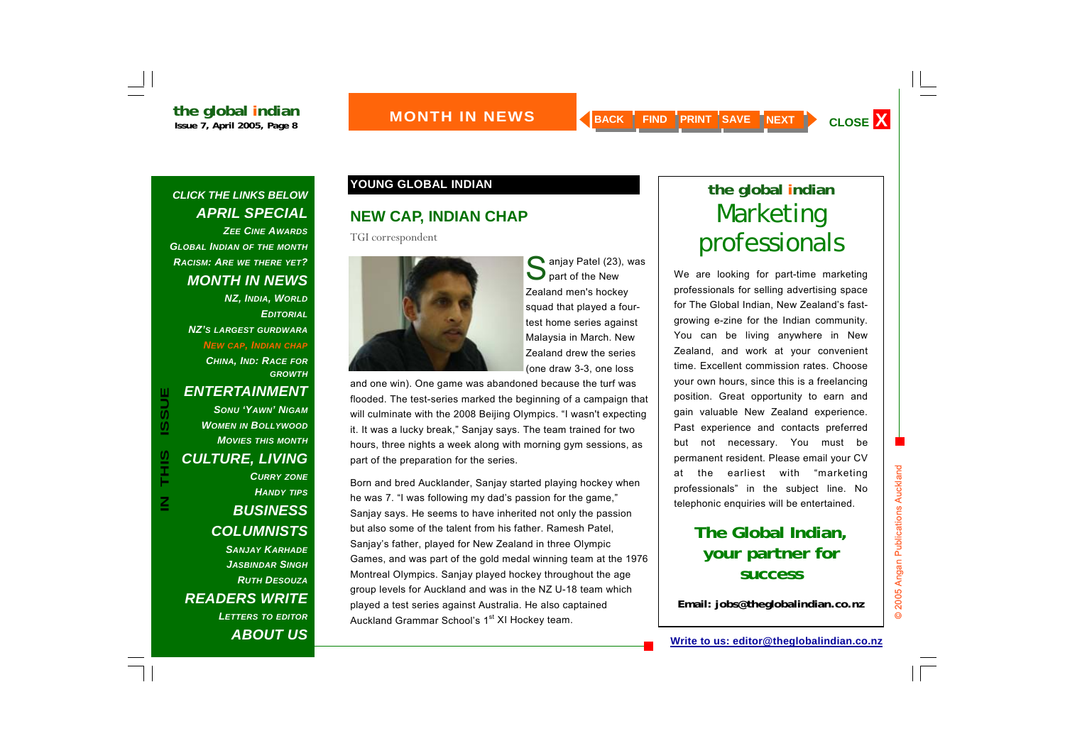#### *CLICK THE LINKS BELOW APRIL SPECIAL ZEE CINE AWARDSGLOBAL INDIAN OF THE MONTH*

*RACISM: ARE WE THERE YET? MONTH IN NEWS* 

*NZ, INDIA, WORLD EDITORIALNZ'S LARGEST GURDWARANEW CAP, INDIAN CHAP CHINA, IND: RACE FOR GROWTH*

#### *ENTERTAINMENT*

*SONU 'YAWN' NIGAMWOMEN IN BOLLYWOOD MOVIES THIS MONTHCULTURE, LIVING CURRY ZONE HANDY TIPS BUSINESS COLUMNISTS SANJAY KARHADEJASBINDAR SINGHRUTH DESOUZAREADERS WRITE LETTERS TO EDITOR ABOUT US*

### **YOUNG GLOBAL INDIAN the global indian**

#### **NEW CAP, INDIAN CHAP**

TGI correspondent

![](_page_7_Picture_13.jpeg)

Sanjay Patel (23), was<br>
Spart of the New Zealand men's hockey squad that played a fourtest home series against Malaysia in March. New Zealand drew the series (one draw 3-3, one loss

and one win). One game was abandoned because the turf was flooded. The test-series marked the beginning of a campaign that will culminate with the 2008 Beijing Olympics. "I wasn't expecting it. It was a lucky break," Sanjay says. The team trained for two hours, three nights a week along with morning gym sessions, as part of the preparation for the series.

Born and bred Aucklander, Sanjay started playing hockey when he was 7. "I was following my dad's passion for the game," Sanjay says. He seems to have inherited not only the passion but also some of the talent from his father. Ramesh Patel, Sanjay's father, played for New Zealand in three Olympic Games, and was part of the gold medal winning team at the 1976 Montreal Olympics. Sanjay played hockey throughout the age group levels for Auckland and was in the NZ U-18 team which played a test series against Australia. He also captained Auckland Grammar School's 1<sup>st</sup> XI Hockey team.

## Marketing professionals

We are looking for part-time marketing professionals for selling advertising space for The Global Indian, New Zealand's fastgrowing e-zine for the Indian community. You can be living anywhere in New Zealand, and work at your convenient time. Excellent commission rates. Choose your own hours, since this is a freelancing position. Great opportunity to earn and gain valuable New Zealand experience. Past experience and contacts preferred but not necessary. You must be permanent resident. Please email your CV at the earliest with "marketing professionals" in the subject line. No telephonic enquiries will be entertained.

### **The Global Indian, your partner for success**

**Email: jobs@theglobalindian.co.nz**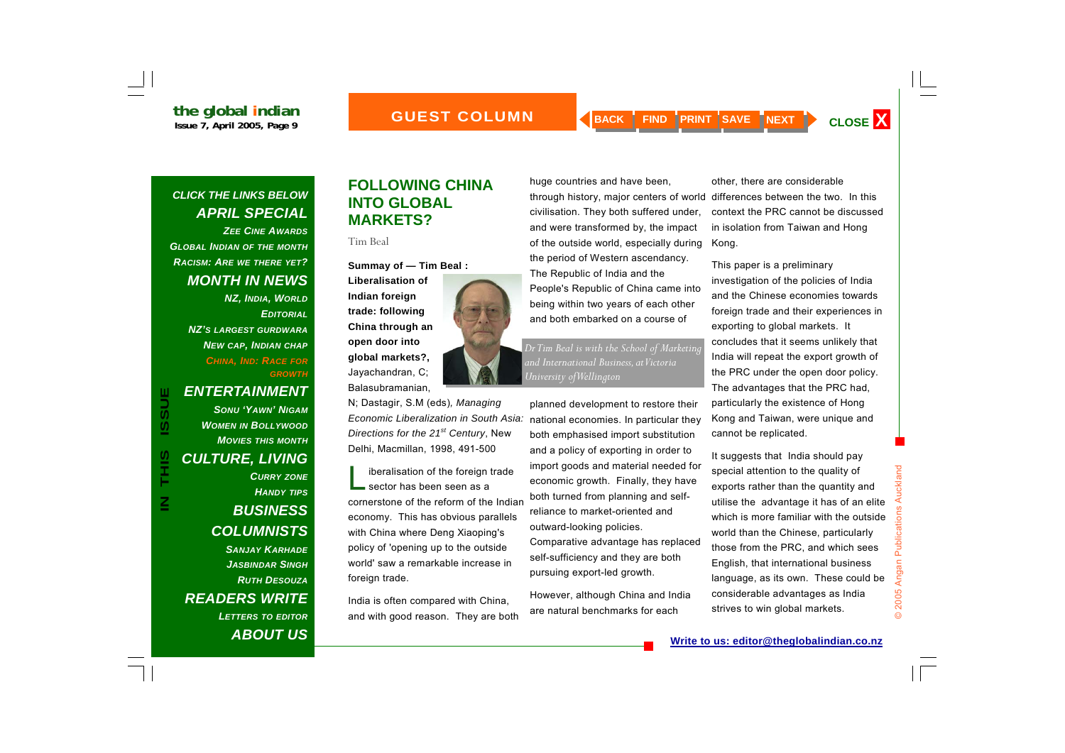![](_page_8_Picture_3.jpeg)

#### *CLICK THE LINKS BELOW APRIL SPECIAL ZEE CINE AWARDS*

*GLOBAL INDIAN OF THE MONTH RACISM: ARE WE THERE YET? MONTH IN NEWS* 

> *NZ, INDIA, WORLD EDITORIALNZ'S LARGEST GURDWARANEW CAP, INDIAN CHAP CHINA, IND: RACE FOR GROWTH*

 $\boldsymbol{\underline{Z}}$ 

#### *ENTERTAINMENT*

*SONU 'YAWN' NIGAMWOMEN IN BOLLYWOOD MOVIES THIS MONTHCULTURE, LIVING CURRY ZONE HANDY TIPS BUSINESS COLUMNISTS SANJAY KARHADEJASBINDAR SINGHRUTH DESOUZAREADERS WRITE LETTERS TO EDITOR ABOUT US*

#### **FOLLOWING CHINA INTO GLOBAL MARKETS?**

Tim Beal

**Summay of — Tim Beal :**

![](_page_8_Picture_13.jpeg)

N; Dastagir, S.M (eds)*, Managing Economic Liberalization in South Asia: Directions for the 21st Century*, New Delhi, Macmillan, 1998, 491-500

liberalisation of the foreign trade<br>sector has been seen as a cornerstone of the reform of the Indian economy. This has obvious parallels with China where Deng Xiaoping's policy of 'opening up to the outside world' saw a remarkable increase in foreign trade.

India is often compared with China, and with good reason. They are both huge countries and have been, through history, major centers of world differences between the two. In this civilisation. They both suffered under, and were transformed by, the impact of the outside world, especially during the period of Western ascendancy. The Republic of India and the People's Republic of China came into being within two years of each other and both embarked on a course of

*Dr Tim Beal is with the School of Marketing and International Business, at Victoria University of Wellington* 

planned development to restore their national economies. In particular they both emphasised import substitution and a policy of exporting in order to import goods and material needed for economic growth. Finally, they have both turned from planning and selfreliance to market-oriented and outward-looking policies. Comparative advantage has replaced self-sufficiency and they are both pursuing export-led growth.

However, although China and India are natural benchmarks for each

other, there are considerable context the PRC cannot be discussed in isolation from Taiwan and Hong Kong.

This paper is a preliminary investigation of the policies of India and the Chinese economies towards foreign trade and their experiences in exporting to global markets. It concludes that it seems unlikely that India will repeat the export growth of the PRC under the open door policy. The advantages that the PRC had, particularly the existence of Hong Kong and Taiwan, were unique and cannot be replicated.

It suggests that India should pay special attention to the quality of exports rather than the quantity and utilise the advantage it has of an elite which is more familiar with the outside world than the Chinese, particularly those from the PRC, and which sees English, that international business language, as its own. These could be considerable advantages as India strives to win global markets.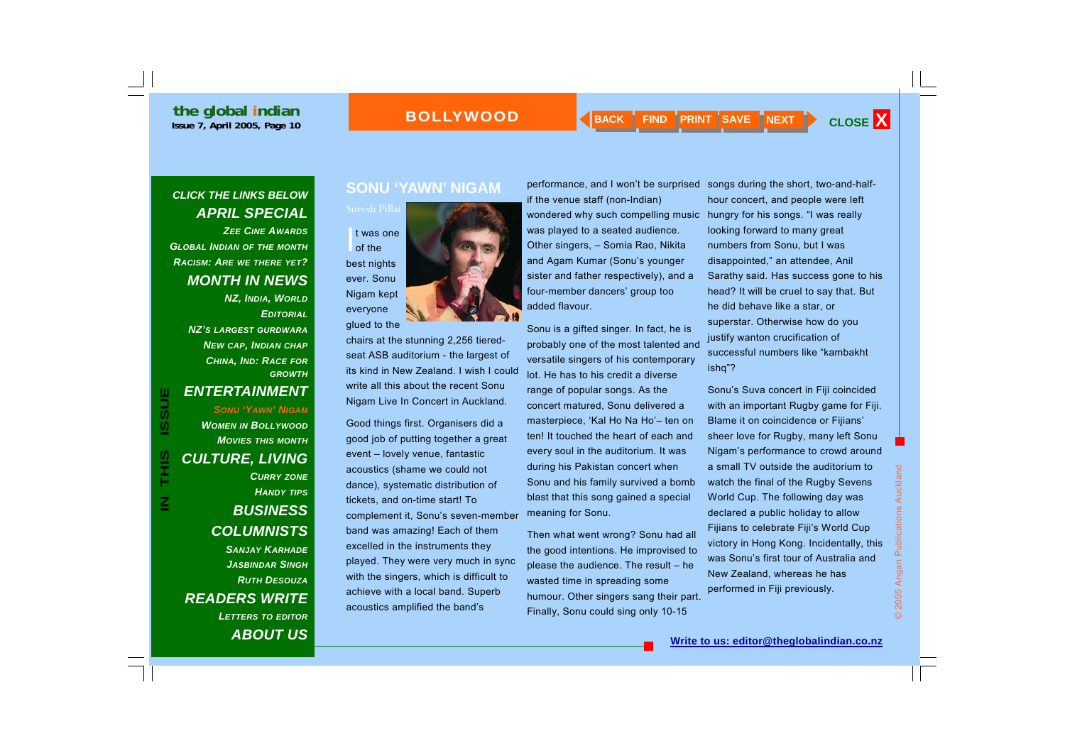#### **BOLLYWOOD**

### *CLICK THE LINKS BELOW APRIL SPECIAL*

*ZEE CINE AWARDSGLOBAL INDIAN OF THE MONTH RACISM: ARE WE THERE YET? MONTH IN NEWS* 

> *NZ, INDIA, WORLD EDITORIALNZ'S LARGEST GURDWARANEW CAP, INDIAN CHAP CHINA, IND: RACE FOR GROWTH*

#### *ENTERTAINMENT*

*SONU 'YAWN' NIGAMWOMEN IN BOLLYWOOD MOVIES THIS MONTHCULTURE, LIVING CURRY ZONE HANDY TIPS BUSINESS COLUMNISTS SANJAY KARHADEJASBINDAR SINGHRUTH DESOUZAREADERS WRITE LETTERS TO EDITOR ABOUT US*

#### **SONU 'YAWN' NIGAM**

![](_page_9_Picture_10.jpeg)

chairs at the stunning 2,256 tieredseat ASB auditorium - the largest of its kind in New Zealand. I wish I could write all this about the recent Sonu Nigam Live In Concert in Auckland.

Good things first. Organisers did a good job of putting together a great event – lovely venue, fantastic acoustics (shame we could not dance), systematic distribution of tickets, and on-time start! To complement it, Sonu's seven-member band was amazing! Each of them excelled in the instruments they played. They were very much in sync with the singers, which is difficult to achieve with a local band. Superb acoustics amplified the band's

performance, and I won't be surprised if the venue staff (non-Indian) wondered why such compelling music was played to a seated audience. Other singers, – Somia Rao, Nikita and Agam Kumar (Sonu's younger sister and father respectively), and a four-member dancers' group too added flavour.

Sonu is a gifted singer. In fact, he is probably one of the most talented and versatile singers of his contemporary lot. He has to his credit a diverse range of popular songs. As the concert matured, Sonu delivered a masterpiece, 'Kal Ho Na Ho'– ten on ten! It touched the heart of each and every soul in the auditorium. It was during his Pakistan concert when Sonu and his family survived a bomb blast that this song gained a special meaning for Sonu.

Then what went wrong? Sonu had all the good intentions. He improvised to please the audience. The result – he wasted time in spreading some humour. Other singers sang their part. Finally, Sonu could sing only 10-15

songs during the short, two-and-halfhour concert, and people were left hungry for his songs. "I was really looking forward to many great numbers from Sonu, but I was disappointed," a <sup>n</sup> attendee, Anil Sarathy said. Has success gone to his head? It will be cruel to say that. But he did behave like a star, or superstar. Otherwise how do you justify wanton crucification of successful numbers like "kambakht ishq"?

Sonu's Suva concert in Fiji coincided with an important Rugby game for Fiji. Blame it on coincidence or Fijians' sheer love for Rugby, many left Sonu Nigam's performance to crowd around a small TV outside the auditorium to watch the final of the Rugby Sevens World Cup. The following day was declared a public holiday to allow Fijians to celebrate Fiji's World Cup victory in Hong Kong. Incidentally, this was Sonu's first tour of Australia and New Zealand, whereas he has performed in Fiji previously.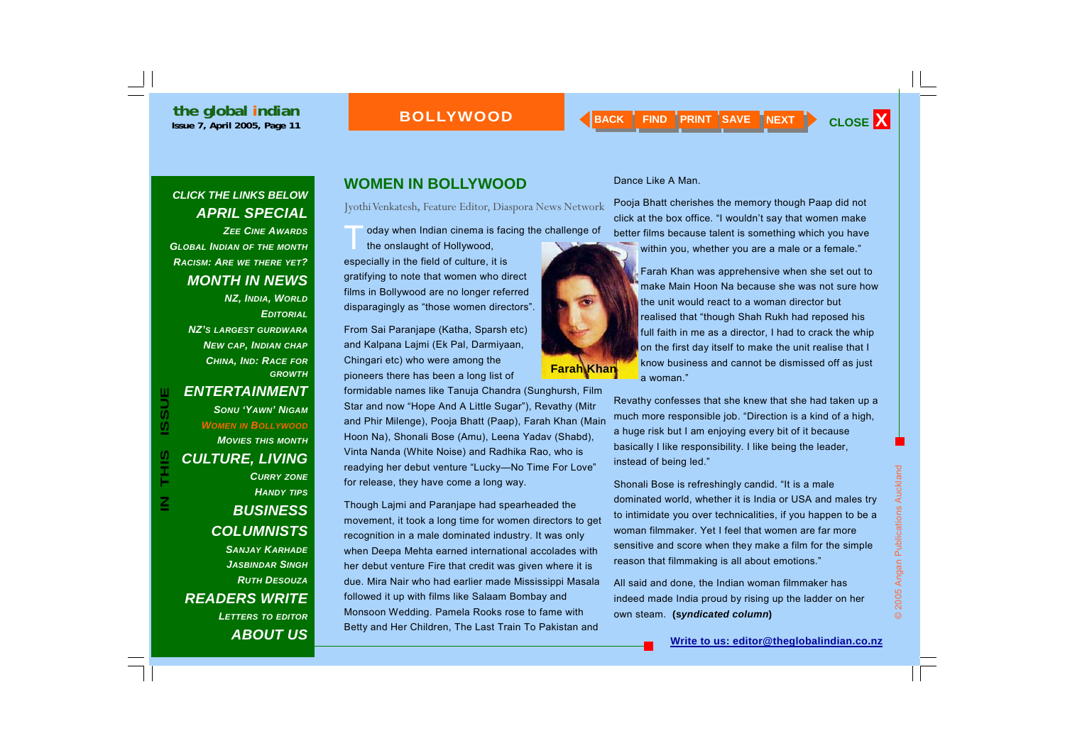#### **BOLLYWOOD**

#### *CLICK THE LINKS BELOW APRIL SPECIAL*

*ZEE CINE AWARDSGLOBAL INDIAN OF THE MONTH RACISM: ARE WE THERE YET? MONTH IN NEWS* 

> *NZ, INDIA, WORLD EDITORIALNZ'S LARGEST GURDWARANEW CAP, INDIAN CHAP CHINA, IND: RACE FOR GROWTH*

#### *ENTERTAINMENT*

*SONU 'YAWN' NIGAMWOMEN IN BOLLYWOOD MOVIES THIS MONTHCULTURE, LIVING CURRY ZONE HANDY TIPS BUSINESS COLUMNISTS SANJAY KARHADEJASBINDAR SINGHRUTH DESOUZAREADERS WRITE* 

*LETTERS TO EDITOR ABOUT US*

### **WOMEN IN BOLLYWOOD**

Jyothi Venkatesh, Feature Editor, Diaspora News Network

oday when Indian cinema is facing the challenge of the onslaught of Hollywood, especially in the field of culture, it is gratifying to note that women who direct

films in Bollywood are no longer referred disparagingly as "those women directors".

From Sai Paranjape (Katha, Sparsh etc) and Kalpana Lajmi (Ek Pal, Darmiyaan, Chingari etc) who were among the pioneers there has been a long list of

formidable names like Tanuja Chandra (Sunghursh, Film Star and now "Hope And A Little Sugar"), Revathy (Mitr and Phir Milenge), Pooja Bhatt (Paap), Farah Khan (Main Hoon Na), Shonali Bose (Amu), Leena Yadav (Shabd), Vinta Nanda (White Noise) and Radhika Rao, who is readying her debut venture "Lucky—No Time For Love" for release, they have come a long way.

Though Lajmi and Paranjape had spearheaded the movement, it took a long time for women directors to get recognition in a male dominated industry. It was only when Deepa Mehta earned international accolades with her debut venture Fire that credit was given where it is due. Mira Nair who had earlier made Mississippi Masala followed it up with films like Salaam Bombay and Monsoon Wedding. Pamela Rooks rose to fame with Betty and Her Children, The Last Train To Pakistan and

#### Dance Like A Man.

**Farah Khan** 

Pooja Bhatt cherishes the memory though Paap did not click at the box office. "I wouldn't say that women make better films because talent is something which you have

within you, whether you are a male or a female."

Farah Khan was apprehensive when she set out to make Main Hoon Na because she was not sure how the unit would react to a woman director but realised that "though Shah Rukh had reposed his full faith in me as a director, I had to crack the whip on the first day itself to make the unit realise that I know business and cannot be dismissed off as just a woman."

Revathy confesses that she knew that she had taken up a much more responsible job. "Direction is a kind of a high, a huge risk but I am enjoying every bit of it because basically I like responsibility. I like being the leader, instead of being led."

Shonali Bose is refreshingly candid. "It is a male dominated world, whether it is India or USA and males try to intimidate you over technicalities, if you happen to be a woman filmmaker. Yet I feel that women are far more sensitive and score when they make a film for the simple reason that filmmaking is all about emotions." **Shonali Bose is refreshingly candid. "It is a male**<br>dominated world, whether it is India or USA and males try<br>to intimidate you over technicalities, if you happen to be a<br>woman filmmaker. Yet I feel that women are far mor

All said and done, the Indian woman filmmaker has indeed made India proud by rising up the ladder on her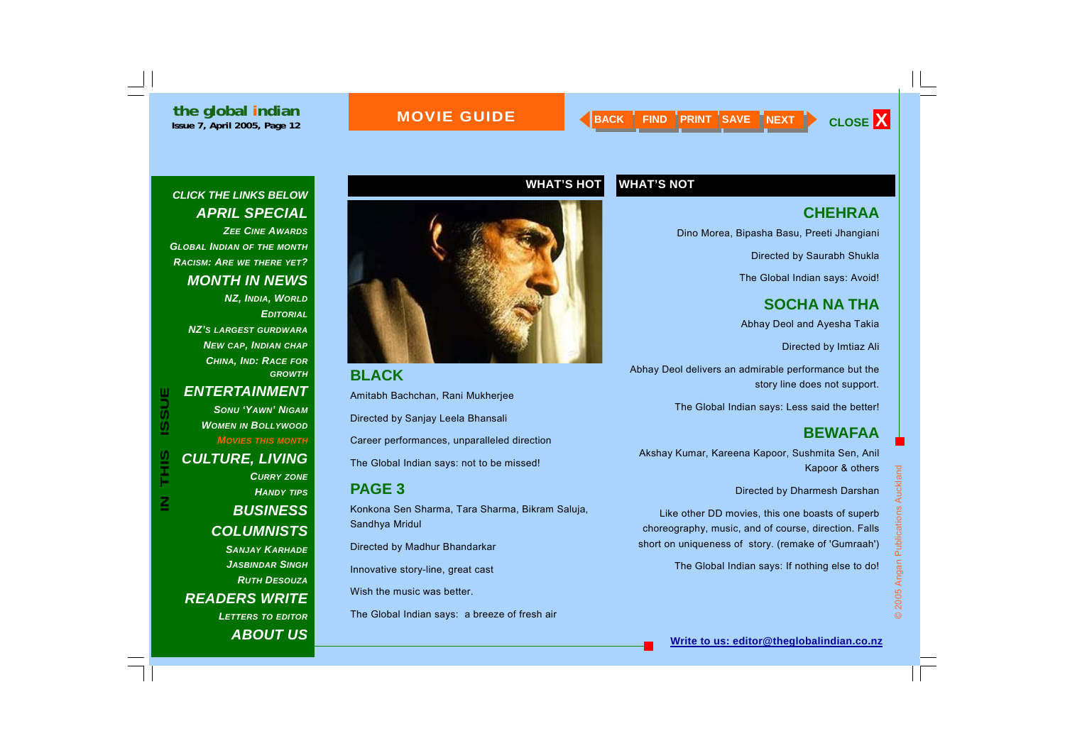#### **MOVIE GUIDE**

#### *CLICK THE LINKS BELOW APRIL SPECIAL ZEE CINE AWARDS*

*GLOBAL INDIAN OF THE MONTH RACISM: ARE WE THERE YET? MONTH IN NEWS* 

> *NZ, INDIA, WORLD EDITORIALNZ'S LARGEST GURDWARANEW CAP, INDIAN CHAP CHINA, IND: RACE FOR GROWTH*

 $\mathbf{\Xi}% _{M_{1},M_{2}}^{\ast}(\mathbf{r},t):=\left( \mathbf{\Pi}_{M_{1},M_{2}}^{\ast}(\mathbf{r},t)\right) ^{\ast}% \mathbf{\Pi}_{M_{1},M_{2}}^{\ast}(\mathbf{r},t)$ 

#### *ENTERTAINMENT*

*SONU 'YAWN' NIGAMWOMEN IN BOLLYWOOD MOVIES THIS MONTH CULTURE, LIVING CURRY ZONE HANDY TIPS BUSINESS COLUMNISTS SANJAY KARHADEJASBINDAR SINGH*

*RUTH DESOUZAREADERS WRITE LETTERS TO EDITOR ABOUT US*

![](_page_11_Picture_11.jpeg)

**BLACK**  Amitabh Bachchan, Rani Mukherjee Directed by Sanjay Leela Bhansali Career performances, unparalleled direction The Global Indian says: not to be missed! **PAGE 3**  Konkona Sen Sharma, Tara Sharma, Bikram Saluja, Sandhya Mridul Directed by Madhur Bhandarkar Innovative story-line, great cast Wish the music was better.

The Global Indian says: a breeze of fresh air

#### **WHAT'S HOT WHAT'S NOT**

#### **CHEHRAA**

Dino Morea, Bipasha Basu, Preeti Jhangiani

Directed by Saurabh Shukla

The Global Indian says: Avoid!

**SOCHA NA THA**  Abhay Deol and Ayesha Takia

Directed by Imtiaz Ali

Abhay Deol delivers an admirable performance but the story line does not support.

The Global Indian says: Less said the better!

#### **BEWAFAA**

Akshay Kumar, Kareena Kapoor, Sushmita Sen, Anil Kapoor & others

Directed by Dharmesh Darshan

Like other DD movies, this one boasts of superb choreography, music, and of course, direction. Falls short on uniqueness of story. (remake of 'Gumraah')

The Global Indian says: If nothing else to do!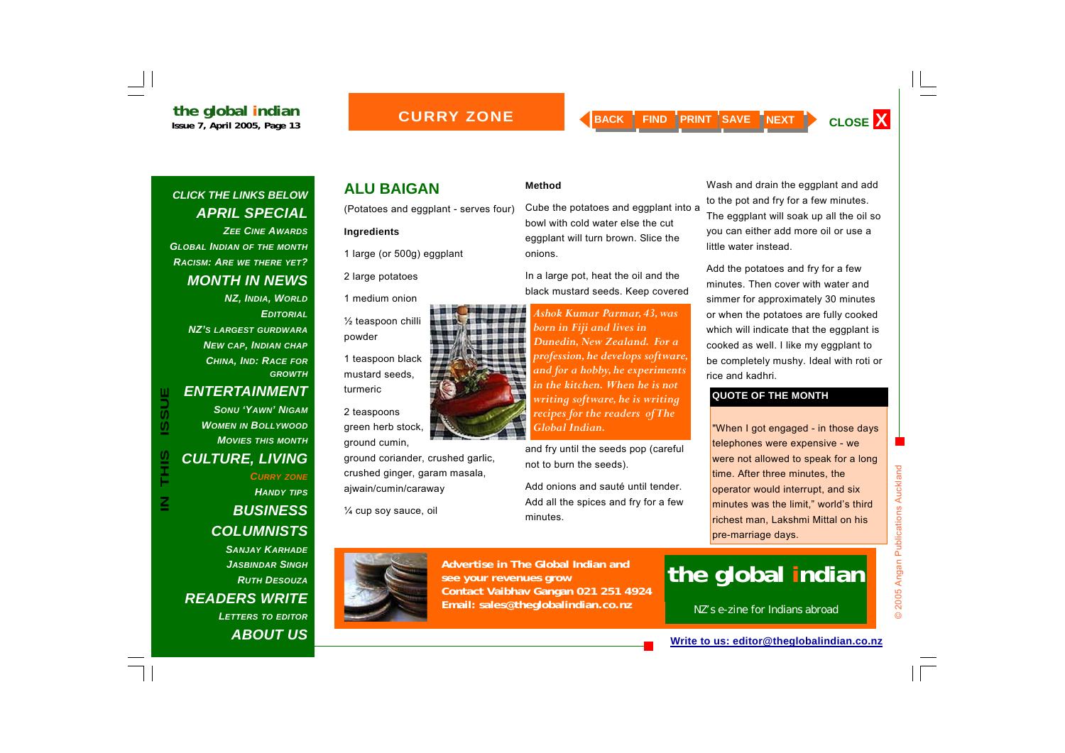#### *CLICK THE LINKS BELOW APRIL SPECIAL ZEE CINE AWARDSGLOBAL INDIAN OF THE MONTH RACISM: ARE WE THERE YET?*

*MONTH IN NEWS* 

*NZ, INDIA, WORLD EDITORIALNZ'S LARGEST GURDWARANEW CAP, INDIAN CHAP CHINA, IND: RACE FOR GROWTH*

#### *ENTERTAINMENT*

*SONU 'YAWN' NIGAMWOMEN IN BOLLYWOOD MOVIES THIS MONTHCULTURE, LIVING CURRY ZONE HANDY TIPS BUSINESS* 

*COLUMNISTS SANJAY KARHADE*

*JASBINDAR SINGHRUTH DESOUZAREADERS WRITE LETTERS TO EDITOR ABOUT US*

#### **ALU BAIGAN**

(Potatoes and eggplant - serves four)

#### **Ingredients**

1 large (or 500g) eggplant

2 large potatoes

1 medium onion

½ teaspoon chilli powder

1 teaspoon black mustard seeds, turmeric

2 teaspoons green herb stock, ground cumin,

ground coriander, crushed garlic, crushed ginger, garam masala, ajwain/cumin/caraway

¼ cup soy sauce, oil

![](_page_12_Picture_23.jpeg)

Cube the potatoes and eggplant into a bowl with cold water else the cut eggplant will turn brown. Slice the onions.

In a large pot, heat the oil and the black mustard seeds. Keep covered

*Ashok Kumar Parmar, 43, was born in Fiji and lives in Dunedin, New Zealand. For a profession, he develops software, and for a hobby, he experiments in the kitchen. When he is not writing software, he is writing recipes for the readers of The Global Indian.* 

and fry until the seeds pop (careful not to burn the seeds).

Add onions and sauté until tender. Add all the spices and fry for a few minutes.

Wash and drain the eggplant and add to the pot and fry for a few minutes. The eggplant will soak up all the oil so you can either add more oil or use a little water instead.

Add the potatoes and fry for a few minutes. Then cover with water and simmer for approximately 30 minutes or when the potatoes are fully cooked which will indicate that the eggplant is cooked as well. I like my eggplant to be completely mushy. Ideal with roti or rice and kadhri.

#### **QUOTE OF THE MONTH**

ENTERTAINMENT<br>
SONU 'YAWN' NIGAM<br>
WOMEN IN BOLLYWOOD<br>
WOMEN IN BOLLYWOOD<br>
MOVIES THIS MONTH<br>
MOVIES THIS MONTH<br>
CULTURE, LIVING<br>
CULTURE, LIVING<br>
CULTURE CURRY ZONE<br>
THANDY TIPS<br>
HANDY TIPS<br>
PUISINESS<br>
PUISINESS<br>
PUISINESS richest man, Lakshmi Mittal on his pre-marriage days.

![](_page_12_Picture_33.jpeg)

**Advertise in The Global Indian and see your revenues grow Contact Vaibhav Gangan 021 251 4924 Email: sales@theglobalindian.co.nz**

## **the global indian**

NZ's e-zine for Indians abroad

**Write to us: editor@theglobalindian.co.nz**

![](_page_12_Picture_38.jpeg)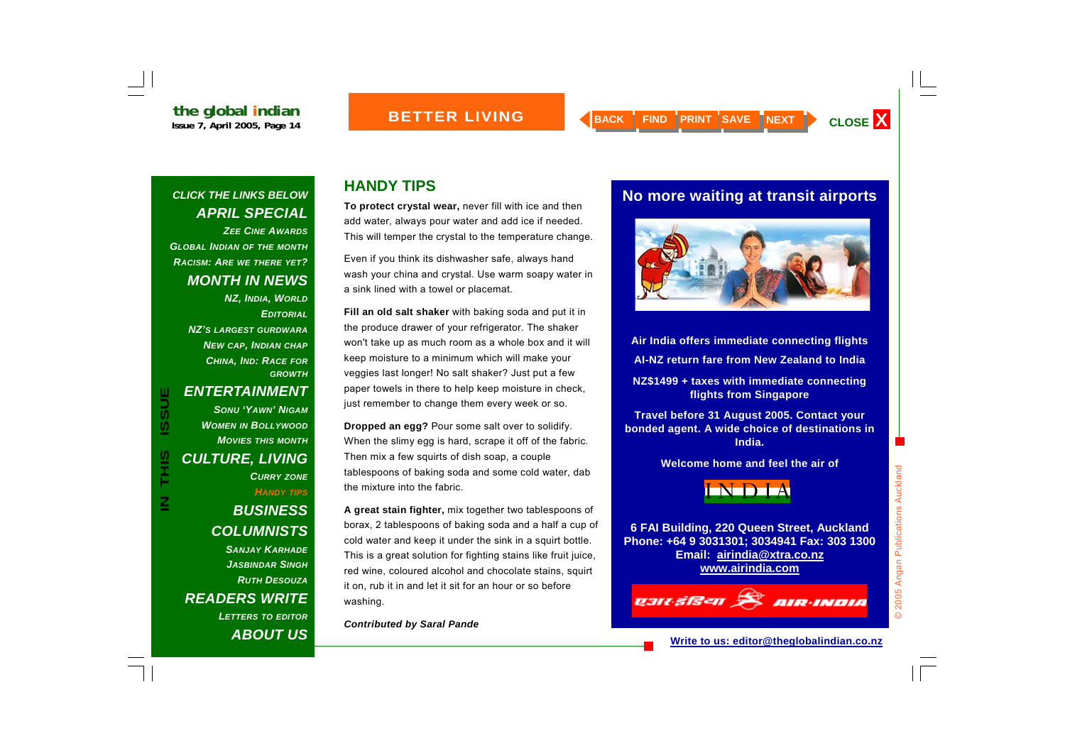#### *CLICK THE LINKS BELOW APRIL SPECIAL ZEE CINE AWARDSGLOBAL INDIAN OF THE MONTH RACISM: ARE WE THERE YET?*

*MONTH IN NEWS NZ, INDIA, WORLD EDITORIALNZ'S LARGEST GURDWARANEW CAP, INDIAN CHAP CHINA, IND: RACE FOR GROWTH*

### *ENTERTAINMENT*

*SONU 'YAWN' NIGAMWOMEN IN BOLLYWOOD MOVIES THIS MONTHCULTURE, LIVING CURRY ZONE HANDY TIPS*

*BUSINESS COLUMNISTS SANJAY KARHADEJASBINDAR SINGHRUTH DESOUZAREADERS WRITE LETTERS TO EDITOR ABOUT US*

#### **HANDY TIPS**

**To protect crystal wear,** never fill with ice and then add water, always pour water and add ice if needed. This will temper the crystal to the temperature change.

Even if you think its dishwasher safe, always hand wash your china and crystal. Use warm soapy water in a sink lined with a towel or placemat.

**Fill an old salt shaker** with baking soda and put it in the produce drawer of your refrigerator. The shaker won't take up as much room as a whole box and it will keep moisture to a minimum which will make your veggies last longer! No salt shaker? Just put a few paper towels in there to help keep moisture in check, just remember to change them every week or so.

**Dropped an egg?** Pour some salt over to solidify. When the slimy egg is hard, scrape it off of the fabric. Then mix a few squirts of dish soap, a couple tablespoons of baking soda and some cold water, dab the mixture into the fabric.

**A great stain fighter,** mix together two tablespoons of borax, 2 tablespoons of baking soda and a half a cup of cold water and keep it under the sink in a squirt bottle. This is a great solution for fighting stains like fruit juice, red wine, coloured alcohol and chocolate stains, squirt it on, rub it in and let it sit for an hour or so before washing.

*Contributed by Saral Pande* 

#### **No more waiting at transit airports**

![](_page_13_Picture_17.jpeg)

**Air India offers immediate connecting flights AI-NZ return fare from New Zealand to India** 

**NZ\$1499 + taxes with immediate connecting flights from Singapore** 

**Travel before 31 August 2005. Contact your bonded agent. A wide choice of destinations in India.** 

**Welcome home and feel the air of** 

![](_page_13_Picture_22.jpeg)

**6 FAI Building, 220 Queen Street, Auckland Phone: +64 9 3031301; 3034941 Fax: 303 1300 Email: airindia@xtra.co.nz www.airindia.com**

## ashasan Rainana

© 2005 Angan Publications Auckland

2005 Angan Publications Auckland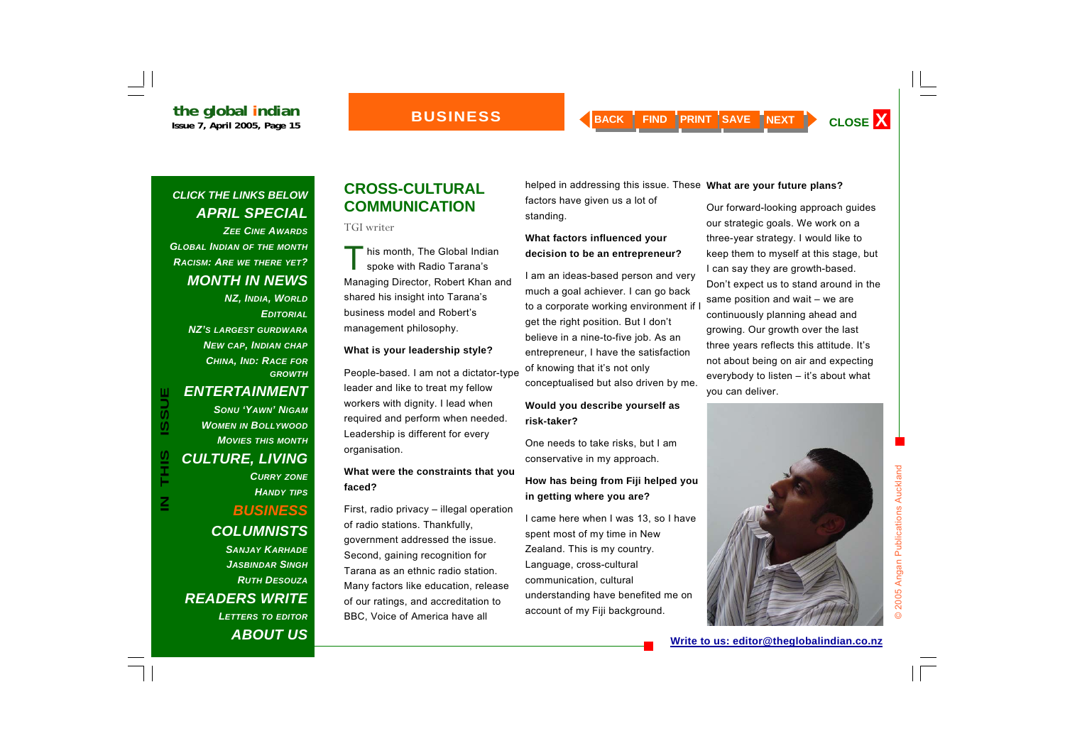#### *CLICK THE LINKS BELOW APRIL SPECIAL*

*ZEE CINE AWARDSGLOBAL INDIAN OF THE MONTH RACISM: ARE WE THERE YET? MONTH IN NEWS* 

> *NZ, INDIA, WORLD EDITORIALNZ'S LARGEST GURDWARANEW CAP, INDIAN CHAP CHINA, IND: RACE FOR GROWTH*

 $\boldsymbol{\mathsf{Z}}$ 

#### *ENTERTAINMENT*

*SONU 'YAWN' NIGAMWOMEN IN BOLLYWOOD MOVIES THIS MONTHCULTURE, LIVING CURRY ZONE HANDY TIPS*

#### *BUSINESS COLUMNISTS SANJAY KARHADEJASBINDAR SINGHRUTH DESOUZAREADERS WRITE LETTERS TO EDITOR ABOUT US*

#### **CROSS-CULTURAL COMMUNICATION**

#### TGI writer

This month, The Global Indian<br>spoke with Radio Tarana's Managing Director, Robert Khan and shared his insight into Tarana's business model and Robert's management philosophy.

#### **What is your leadership style?**

People-based. I am not a dictator-type leader and like to treat my fellow workers with dignity. I lead when required and perform when needed. Leadership is different for every organisation.

#### **What were the constraints that you faced?**

First, radio privacy – illegal operation of radio stations. Thankfully, government addressed the issue. Second, gaining recognition for Tarana as an ethnic radio station. Many factors like education, release of our ratings, and accreditation to BBC, Voice of America have all

helped in addressing this issue. These **What are your future plans?** 

factors have given us a lot of standing.

#### **What factors influenced your decision to be an entrepreneur?**

I am an ideas-based person and very much a goal achiever. I can go back to a corporate working environment if get the right position. But I don't believe in a nine-to-five job. As an entrepreneur, I have the satisfaction of knowing that it's not only conceptualised but also driven by me.

#### **Would you describe yourself as risk-taker?**

One needs to take risks, but I am conservative in my approach.

#### **How has being from Fiji helped you in getting where you are?**

I came here when I was 13, so I have spent most of my time in New Zealand. This is my country. Language, cross-cultural communication, cultural understanding have benefited me on account of my Fiji background.

Our forward-looking approach guides our strategic goals. We work on a three-year strategy. I would like to keep them to myself at this stage, but I can say they are growth-based. Don't expect us to stand around in the same position and wait – we are continuously planning ahead and growing. Our growth over the last three years reflects this attitude. It's not about being on air and expecting everybody to listen – it's about what you can deliver.

![](_page_14_Picture_27.jpeg)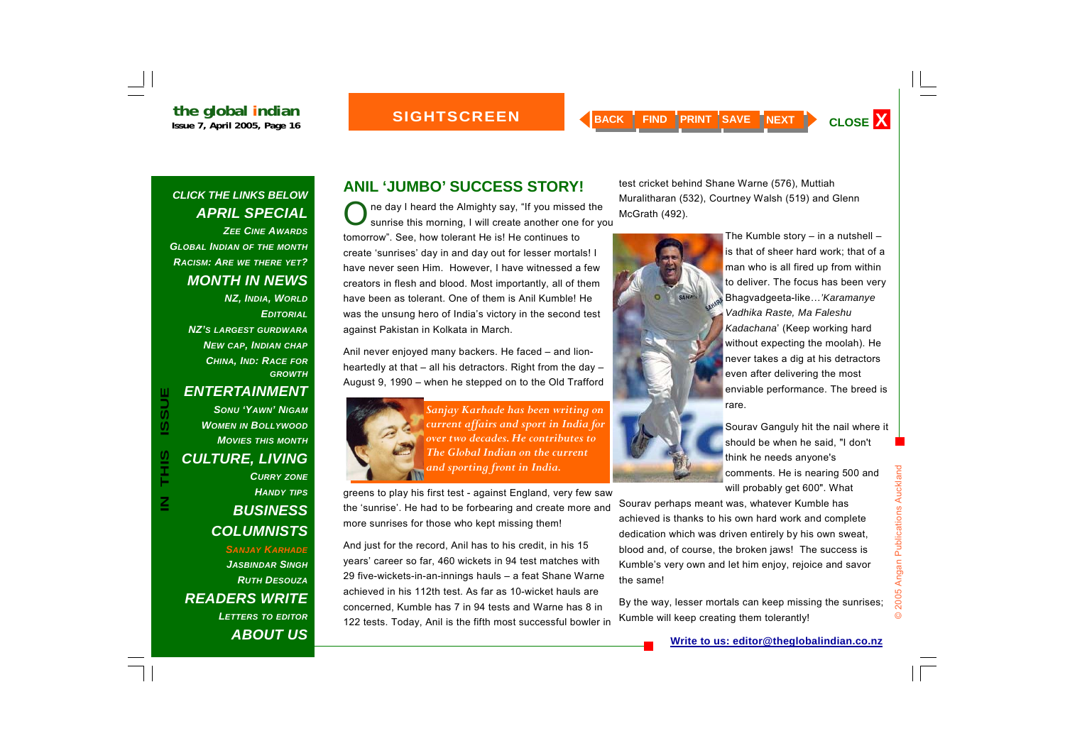#### **SIGHTSCREEN**

*CLICK THE LINKS BELOW APRIL SPECIAL ZEE CINE AWARDSGLOBAL INDIAN OF THE MONTH RACISM: ARE WE THERE YET?* 

*MONTH IN NEWS* 

*NZ, INDIA, WORLD EDITORIALNZ'S LARGEST GURDWARANEW CAP, INDIAN CHAP CHINA, IND: RACE FOR GROWTH*

#### *ENTERTAINMENT*

*SONU 'YAWN' NIGAMWOMEN IN BOLLYWOOD MOVIES THIS MONTHCULTURE, LIVING CURRY ZONE HANDY TIPS BUSINESS COLUMNISTS SANJAY KARHADEJASBINDAR SINGHRUTH DESOUZAREADERS WRITE* 

*LETTERS TO EDITOR ABOUT US*

#### **ANIL 'JUMBO' SUCCESS STORY!**

ne day I heard the Almighty say, "If you missed the sunrise this morning, I will create another one for you tomorrow". See, how tolerant He is! He continues to create 'sunrises' day in and day out for lesser mortals! I have never seen Him. However, I have witnessed a few creators in flesh and blood. Most importantly, all of them have been as tolerant. One of them is Anil Kumble! He was the unsung hero of India's victory in the second test against Pakistan in Kolkata in March.

Anil never enjoyed many backers. He faced – and lionheartedly at that – all his detractors. Right from the day – August 9, 1990 – when he stepped on to the Old Trafford

![](_page_15_Picture_13.jpeg)

IN THIS ISSUE AND SONU 'YAWN' NIGAM<br>
CULTURE, LIVING<br>
CULTURE, LIVING<br>
CULTURE, LIVING<br>
CULTURE, LIVING<br>
CURRY ZONE<br>
HANDY TIPS<br>
THE Global Indian on the current<br>
CURRY ZONE<br>
HANDY TIPS<br>
THE SUIRINESS<br>
THE SILINESS<br>
THE SI

greens to play his first test - against England, very few saw the 'sunrise'. He had to be forbearing and create more and more sunrises for those who kept missing them!

And just for the record, Anil has to his credit, in his 15 years' career so far, 460 wickets in 94 test matches with 29 five-wickets-in-an-innings hauls – a feat Shane Warne achieved in his 112th test. As far as 10-wicket hauls are concerned, Kumble has 7 in 94 tests and Warne has 8 in 122 tests. Today, Anil is the fifth most successful bowler in

test cricket behind Shane Warne (576), Muttiah Muralitharan (532), Courtney Walsh (519) and Glenn McGrath (492).

![](_page_15_Picture_18.jpeg)

The Kumble story  $-$  in a nutshell  $$ is that of sheer hard work; that of a man who is all fired up from within to deliver. The focus has been very Bhagvadgeeta-like…*'Karamanye Vadhika Raste, Ma Faleshu Kadachana*' (Keep working hard without expecting the moolah). He never takes a dig at his detractors even after delivering the most enviable performance. The breed is rare.

Sourav Ganguly hit the nail where it should be when he said, "I don't think he needs anyone's comments. He is nearing 500 and will probably get 600". What

Sourav perhaps meant was, whatever Kumble has achieved is thanks to his own hard work and complete dedication which was driven entirely by his own sweat, blood and, of course, the broken jaws! The success is Kumble's very own and let him enjoy, rejoice and savor the same!

By the way, lesser mortals can keep missing the sunrises; Kumble will keep creating them tolerantly!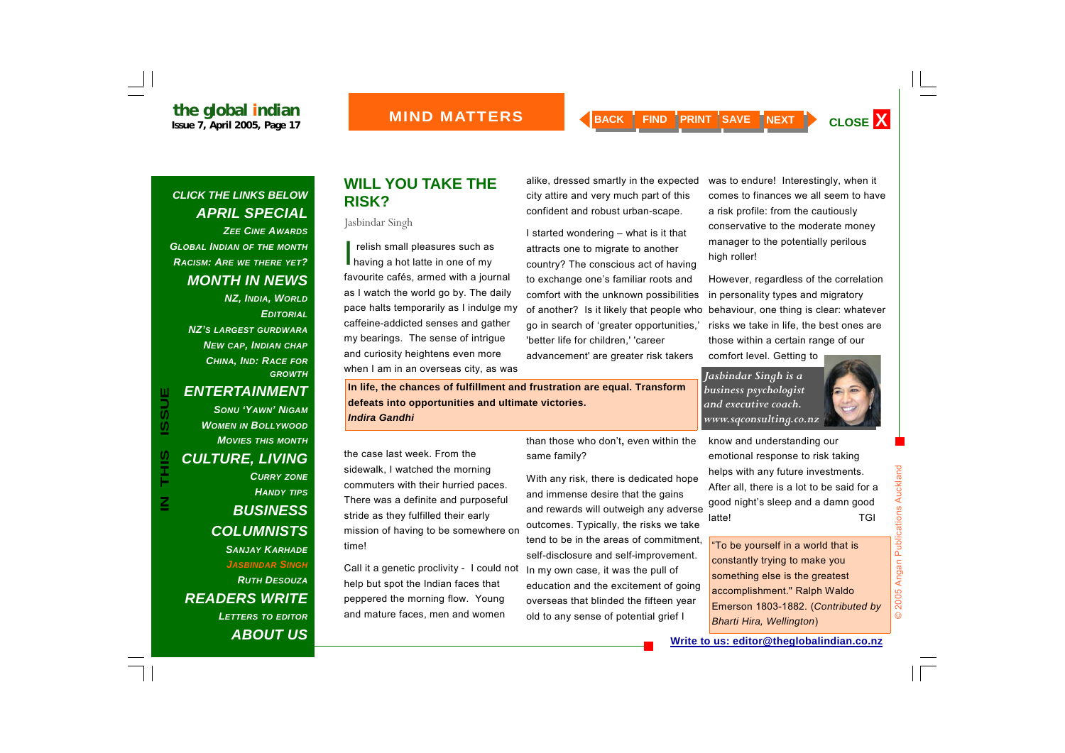#### *CLICK THE LINKS BELOW APRIL SPECIAL ZEE CINE AWARDSGLOBAL INDIAN OF THE MONTH*

*RACISM: ARE WE THERE YET? MONTH IN NEWS* 

> *NZ, INDIA, WORLD EDITORIALNZ'S LARGEST GURDWARANEW CAP, INDIAN CHAP CHINA, IND: RACE FOR GROWTH*

 $\boldsymbol{\underline{Z}}$ 

#### *ENTERTAINMENT*

*SONU 'YAWN' NIGAMWOMEN IN BOLLYWOOD MOVIES THIS MONTHCULTURE, LIVING CURRY ZONE HANDY TIPS BUSINESS COLUMNISTS SANJAY KARHADEJASBINDAR SINGHRUTH DESOUZAREADERS WRITE LETTERS TO EDITOR ABOUT US*

#### **WILL YOU TAKE THE RISK?**

Jasbindar Singh

I relish small pleasures such as<br>having a hot latte in one of my favourite cafés, armed with a journal as I watch the world go by. The daily pace halts temporarily as I indulge my caffeine-addicted senses and gather my bearings. The sense of intrigue and curiosity heightens even more when I am in an overseas city, as was

alike, dressed smartly in the expected city attire and very much part of this confident and robust urban-scape.

I started wondering – what is it that attracts one to migrate to another country? The conscious act of having to exchange one's familiar roots and comfort with the unknown possibilities of another? Is it likely that people who go in search of 'greater opportunities,' 'better life for children,' 'career advancement' are greater risk takers

was to endure! Interestingly, when it comes to finances we all seem to have a risk profile: from the cautiously conservative to the moderate money manager to the potentially perilous high roller!

However, regardless of the correlation in personality types and migratory behaviour, one thing is clear: whatever risks we take in life, the best ones are those within a certain range of our comfort level. Getting to

*Jasbindar Singh is a business psychologist and executive coach. www.sqconsulting.co.nz* 

**In life, the chances of fulfillment and frustration are equal. Transform defeats into opportunities and ultimate victories.**  *Indira Gandhi*

the case last week. From the sidewalk, I watched the morning commuters with their hurried paces. There was a definite and purposeful stride as they fulfilled their early mission of having to be somewhere on time!

Call it a genetic proclivity - I could not help but spot the Indian faces that peppered the morning flow. Young and mature faces, men and women

than those who don't**,** even within the same family?

With any risk, there is dedicated hope and immense desire that the gains and rewards will outweigh any adverse outcomes. Typically, the risks we take tend to be in the areas of commitment, self-disclosure and self-improvement. In my own case, it was the pull of education and the excitement of going overseas that blinded the fifteen year old to any sense of potential grief I

know and understanding our emotional response to risk taking helps with any future investments. After all, there is a lot to be said for a good night's sleep and a damn good latte! TGI

"To be yourself in a world that is constantly trying to make you something else is the greatest accomplishment." Ralph Waldo Emerson 1803-1882. (*Contributed by Bharti Hira, Wellington*)

![](_page_16_Picture_25.jpeg)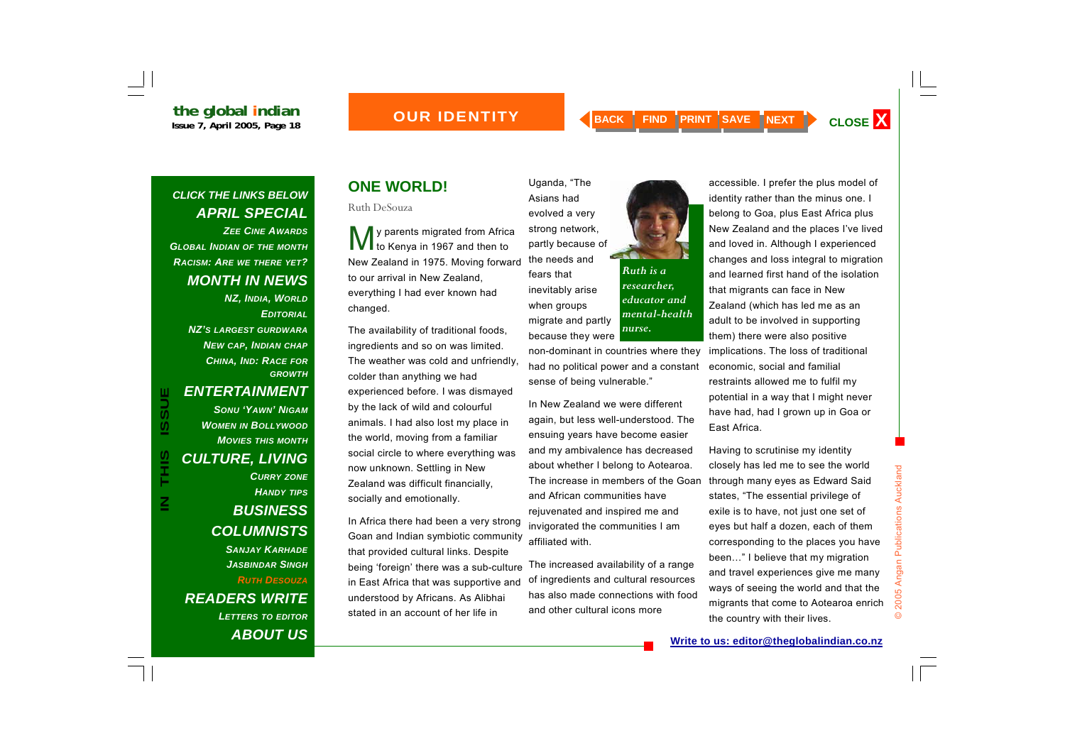#### *OUR IDENTITY*

*Ruth is a researcher, educator and mental-health* 

*nurse.* 

#### *CLICK THE LINKS BELOW APRIL SPECIAL ZEE CINE AWARDSGLOBAL INDIAN OF THE MONTH RACISM: ARE WE THERE YET? MONTH IN NEWS*

*NZ, INDIA, WORLD EDITORIALNZ'S LARGEST GURDWARANEW CAP, INDIAN CHAP CHINA, IND: RACE FOR GROWTH*

 $\boldsymbol{\underline{Z}}$ 

#### *ENTERTAINMENT*

*SONU 'YAWN' NIGAMWOMEN IN BOLLYWOOD MOVIES THIS MONTHCULTURE, LIVING CURRY ZONE HANDY TIPS BUSINESS COLUMNISTS SANJAY KARHADEJASBINDAR SINGHRUTH DESOUZA*

*READERS WRITE LETTERS TO EDITOR ABOUT US*

#### **ONE WORLD!**

Ruth DeSouza

y parents migrated from Africa<br>to Kenya in 1967 and then to New Zealand in 1975. Moving forward to our arrival in New Zealand, everything I had ever known had changed.

The availability of traditional foods, ingredients and so on was limited. The weather was cold and unfriendly, colder than anything we had experienced before. I was dismayed by the lack of wild and colourful animals. I had also lost my place in the world, moving from a familiar social circle to where everything was now unknown. Settling in New Zealand was difficult financially, socially and emotionally.

In Africa there had been a very strong Goan and Indian symbiotic community that provided cultural links. Despite being 'foreign' there was a sub-culture in East Africa that was supportive and understood by Africans. As Alibhai stated in an account of her life in

Uganda, "The Asians had evolved a very strong network, partly because of the needs and fears that inevitably arise when groups migrate and partly because they were

> non-dominant in countries where they had no political power and a constant sense of being vulnerable."

> In New Zealand we were different again, but less well-understood. The ensuing years have become easier and my ambivalence has decreased about whether I belong to Aotearoa. The increase in members of the Goan and African communities have rejuvenated and inspired me and invigorated the communities I am affiliated with.

> The increased availability of a range of ingredients and cultural resources has also made connections with food and other cultural icons more

![](_page_17_Picture_18.jpeg)

Having to scrutinise my identity closely has led me to see the world through many eyes as Edward Said states, "The essential privilege of exile is to have, not just one set of eyes but half a dozen, each of them corresponding to the places you have been…" I believe that my migration and travel experiences give me many ways of seeing the world and that the migrants that come to Aotearoa enrich the country with their lives.

© 2005 Angan Publications Auckland

 $\odot$ 

2005 Angan Publications Auckland

#### **Write to us: editor@theglobalindian.co.nz**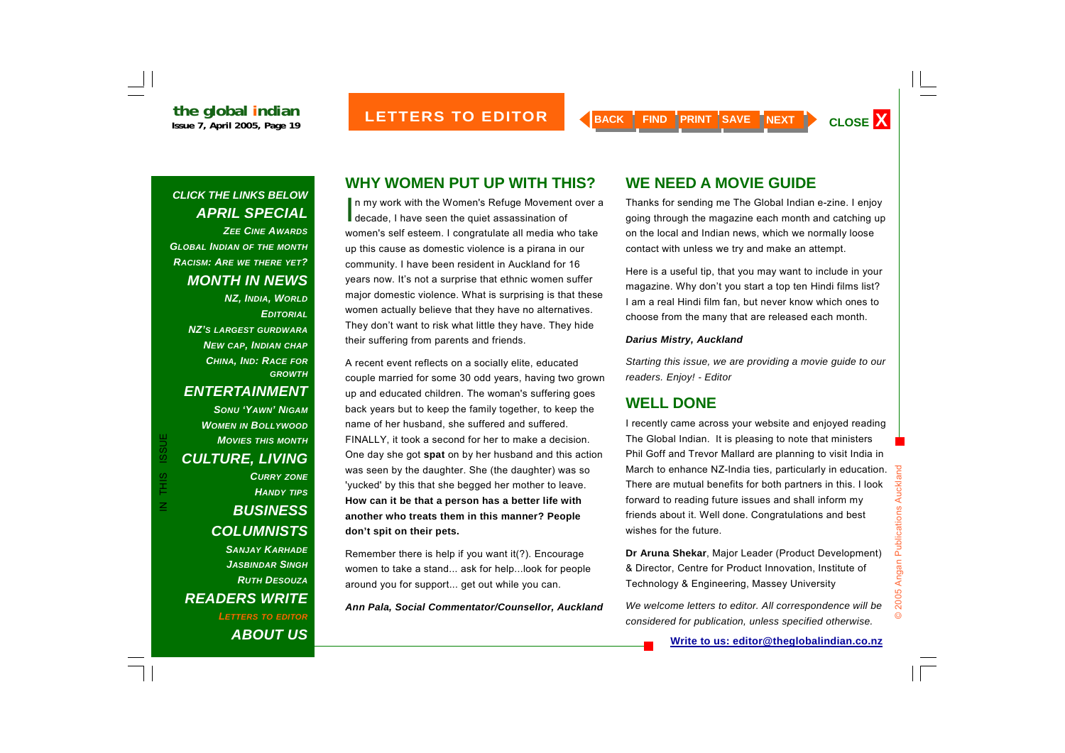#### *CLICK THE LINKS BELOW APRIL SPECIAL ZEE CINE AWARDSGLOBAL INDIAN OF THE MONTH RACISM: ARE WE THERE YET? MONTH IN NEWS*

*NZ, INDIA, WORLD EDITORIALNZ'S LARGEST GURDWARANEW CAP, INDIAN CHAP CHINA, IND: RACE FOR GROWTH*

#### *ENTERTAINMENT*

IN THIS ISSUE

THIS

 $\mathbb Z$ 

**ISSUE** 

*SONU 'YAWN' NIGAMWOMEN IN BOLLYWOOD MOVIES THIS MONTHCULTURE, LIVING CURRY ZONE HANDY TIPS BUSINESS COLUMNISTS SANJAY KARHADEJASBINDAR SINGHRUTH DESOUZAREADERS WRITE LETTERS TO EDITOR*

*ABOUT US*

### **WHY WOMEN PUT UP WITH THIS?**

In my work with the Women's Refuge Movement over a decade, I have seen the quiet assassination of women's self esteem. I congratulate all media who take up this cause as domestic violence is a pirana in our community. I have been resident in Auckland for 16 years now. It's not a surprise that ethnic women suffer major domestic violence. What is surprising is that these women actually believe that they have no alternatives. They don't want to risk what little they have. They hide their suffering from parents and friends.

A recent event reflects on a socially elite, educated couple married for some 30 odd years, having two grown up and educated children. The woman's suffering goes back years but to keep the family together, to keep the name of her husband, she suffered and suffered. FINALLY, it took a second for her to make a decision. One day she got **spat** on by her husband and this action was seen by the daughter. She (the daughter) was so 'yucked' by this that she begged her mother to leave. **How can it be that a person has a better life with another who treats them in this manner? People don't spit on their pets.** 

Remember there is help if you want it(?). Encourage women to take a stand... ask for help...look for people around you for support... get out while you can.

*Ann Pala, Social Commentator/Counsellor, Auckland* 

#### **WE NEED A MOVIE GUIDE**

Thanks for sending me The Global Indian e-zine. I enjoy going through the magazine each month and catching up on the local and Indian news, which we normally loose contact with unless we try and make an attempt.

Here is a useful tip, that you may want to include in your magazine. Why don't you start a top ten Hindi films list? I am a real Hindi film fan, but never know which ones to choose from the many that are released each month.

#### *Darius Mistry, Auckland*

*Starting this issue, we are providing a movie guide to our readers. Enjoy! - Editor* 

#### **WELL DONE**

I recently came across your website and enjoyed reading The Global Indian. It is pleasing to note that ministers Phil Goff and Trevor Mallard are planning to visit India in March to enhance NZ-India ties, particularly in education. There are mutual benefits for both partners in this. I look forward to reading future issues and shall inform my friends about it. Well done. Congratulations and best wishes for the future.

**Dr Aruna Shekar**, Major Leader (Product Development) & Director, Centre for Product Innovation, Institute of Technology & Engineering, Massey University

*We welcome letters to editor. All correspondence will be considered for publication, unless specified otherwise.*